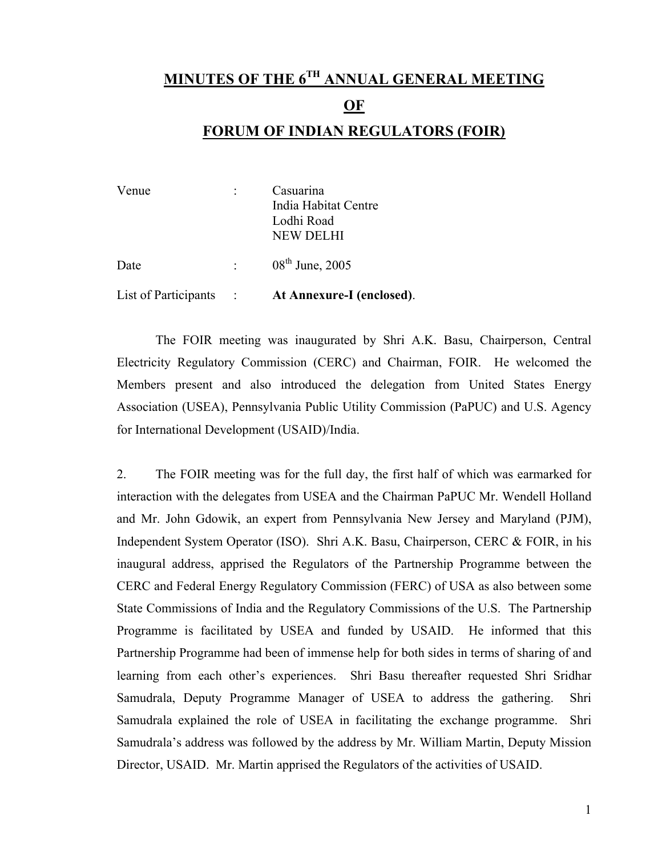# **MINUTES OF THE 6TH ANNUAL GENERAL MEETING**

#### **OF**

#### **FORUM OF INDIAN REGULATORS (FOIR)**

| Venue                | Casuarina                 |
|----------------------|---------------------------|
|                      | India Habitat Centre      |
|                      | Lodhi Road                |
|                      | <b>NEW DELHI</b>          |
| Date                 | $08th$ June, 2005         |
| List of Participants | At Annexure-I (enclosed). |

 The FOIR meeting was inaugurated by Shri A.K. Basu, Chairperson, Central Electricity Regulatory Commission (CERC) and Chairman, FOIR. He welcomed the Members present and also introduced the delegation from United States Energy Association (USEA), Pennsylvania Public Utility Commission (PaPUC) and U.S. Agency for International Development (USAID)/India.

2. The FOIR meeting was for the full day, the first half of which was earmarked for interaction with the delegates from USEA and the Chairman PaPUC Mr. Wendell Holland and Mr. John Gdowik, an expert from Pennsylvania New Jersey and Maryland (PJM), Independent System Operator (ISO). Shri A.K. Basu, Chairperson, CERC & FOIR, in his inaugural address, apprised the Regulators of the Partnership Programme between the CERC and Federal Energy Regulatory Commission (FERC) of USA as also between some State Commissions of India and the Regulatory Commissions of the U.S. The Partnership Programme is facilitated by USEA and funded by USAID. He informed that this Partnership Programme had been of immense help for both sides in terms of sharing of and learning from each other's experiences. Shri Basu thereafter requested Shri Sridhar Samudrala, Deputy Programme Manager of USEA to address the gathering. Shri Samudrala explained the role of USEA in facilitating the exchange programme. Shri Samudrala's address was followed by the address by Mr. William Martin, Deputy Mission Director, USAID. Mr. Martin apprised the Regulators of the activities of USAID.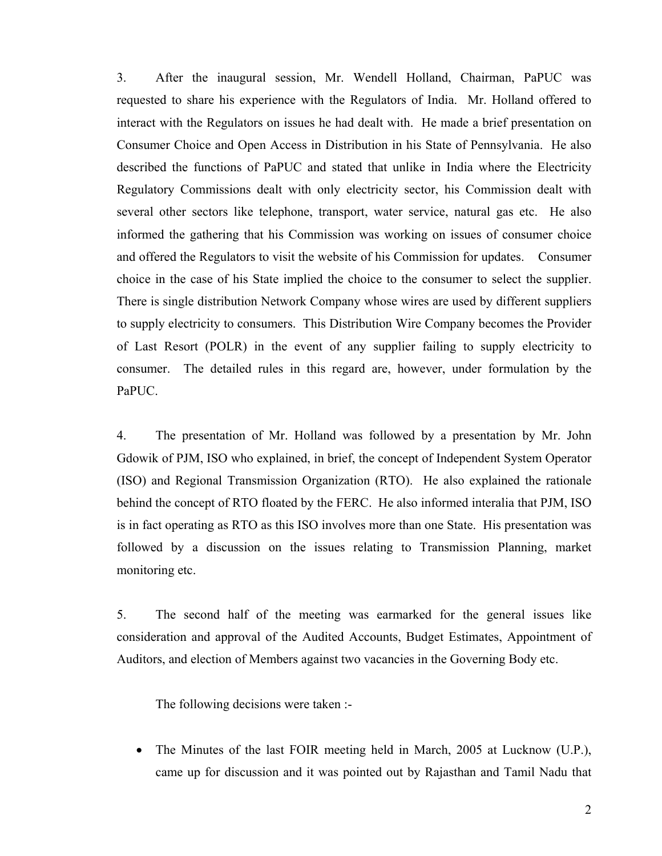3. After the inaugural session, Mr. Wendell Holland, Chairman, PaPUC was requested to share his experience with the Regulators of India. Mr. Holland offered to interact with the Regulators on issues he had dealt with. He made a brief presentation on Consumer Choice and Open Access in Distribution in his State of Pennsylvania. He also described the functions of PaPUC and stated that unlike in India where the Electricity Regulatory Commissions dealt with only electricity sector, his Commission dealt with several other sectors like telephone, transport, water service, natural gas etc. He also informed the gathering that his Commission was working on issues of consumer choice and offered the Regulators to visit the website of his Commission for updates. Consumer choice in the case of his State implied the choice to the consumer to select the supplier. There is single distribution Network Company whose wires are used by different suppliers to supply electricity to consumers. This Distribution Wire Company becomes the Provider of Last Resort (POLR) in the event of any supplier failing to supply electricity to consumer. The detailed rules in this regard are, however, under formulation by the PaPUC.

4. The presentation of Mr. Holland was followed by a presentation by Mr. John Gdowik of PJM, ISO who explained, in brief, the concept of Independent System Operator (ISO) and Regional Transmission Organization (RTO). He also explained the rationale behind the concept of RTO floated by the FERC. He also informed interalia that PJM, ISO is in fact operating as RTO as this ISO involves more than one State. His presentation was followed by a discussion on the issues relating to Transmission Planning, market monitoring etc.

5. The second half of the meeting was earmarked for the general issues like consideration and approval of the Audited Accounts, Budget Estimates, Appointment of Auditors, and election of Members against two vacancies in the Governing Body etc.

The following decisions were taken :-

• The Minutes of the last FOIR meeting held in March, 2005 at Lucknow (U.P.), came up for discussion and it was pointed out by Rajasthan and Tamil Nadu that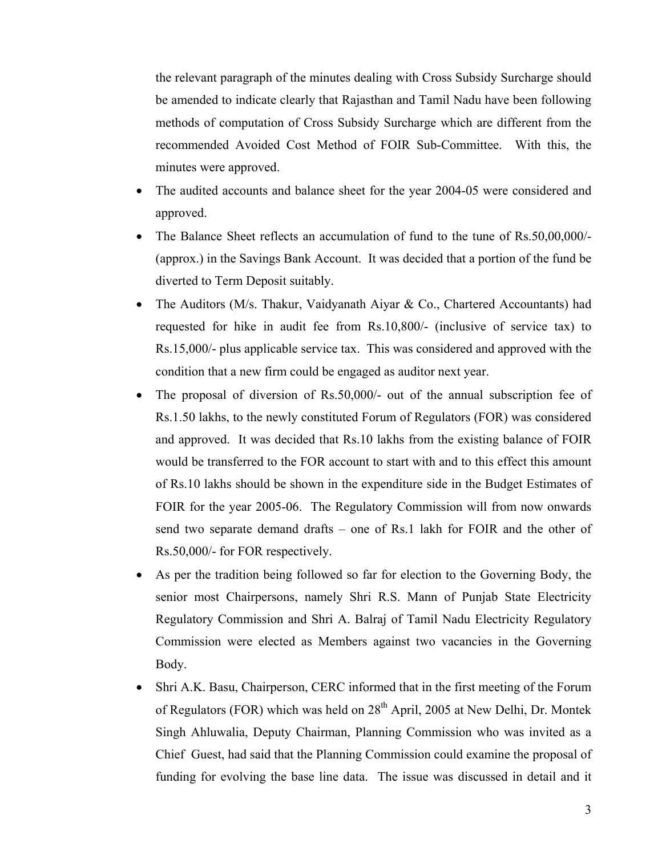the relevant paragraph of the minutes dealing with Cross Subsidy Surcharge should be amended to indicate clearly that Rajasthan and Tamil Nadu have been following methods of computation of Cross Subsidy Surcharge which are different from the recommended Avoided Cost Method of FOIR Sub-Committee. With this, the minutes were approved.

- The audited accounts and balance sheet for the year 2004-05 were considered and approved.
- The Balance Sheet reflects an accumulation of fund to the tune of Rs.50,00,000/- (approx.) in the Savings Bank Account. It was decided that a portion of the fund be diverted to Term Deposit suitably.
- The Auditors (M/s. Thakur, Vaidyanath Aiyar & Co., Chartered Accountants) had requested for hike in audit fee from Rs.10,800/- (inclusive of service tax) to Rs.15,000/- plus applicable service tax. This was considered and approved with the condition that a new firm could be engaged as auditor next year.
- The proposal of diversion of Rs.50,000/- out of the annual subscription fee of Rs.1.50 lakhs, to the newly constituted Forum of Regulators (FOR) was considered and approved. It was decided that Rs.10 lakhs from the existing balance of FOIR would be transferred to the FOR account to start with and to this effect this amount of Rs.10 lakhs should be shown in the expenditure side in the Budget Estimates of FOIR for the year 2005-06. The Regulatory Commission will from now onwards send two separate demand drafts – one of Rs.1 lakh for FOIR and the other of Rs.50,000/- for FOR respectively.
- As per the tradition being followed so far for election to the Governing Body, the senior most Chairpersons, namely Shri R.S. Mann of Punjab State Electricity Regulatory Commission and Shri A. Balraj of Tamil Nadu Electricity Regulatory Commission were elected as Members against two vacancies in the Governing Body.
- Shri A.K. Basu, Chairperson, CERC informed that in the first meeting of the Forum of Regulators (FOR) which was held on 28<sup>th</sup> April, 2005 at New Delhi, Dr. Montek Singh Ahluwalia, Deputy Chairman, Planning Commission who was invited as a Chief Guest, had said that the Planning Commission could examine the proposal of funding for evolving the base line data. The issue was discussed in detail and it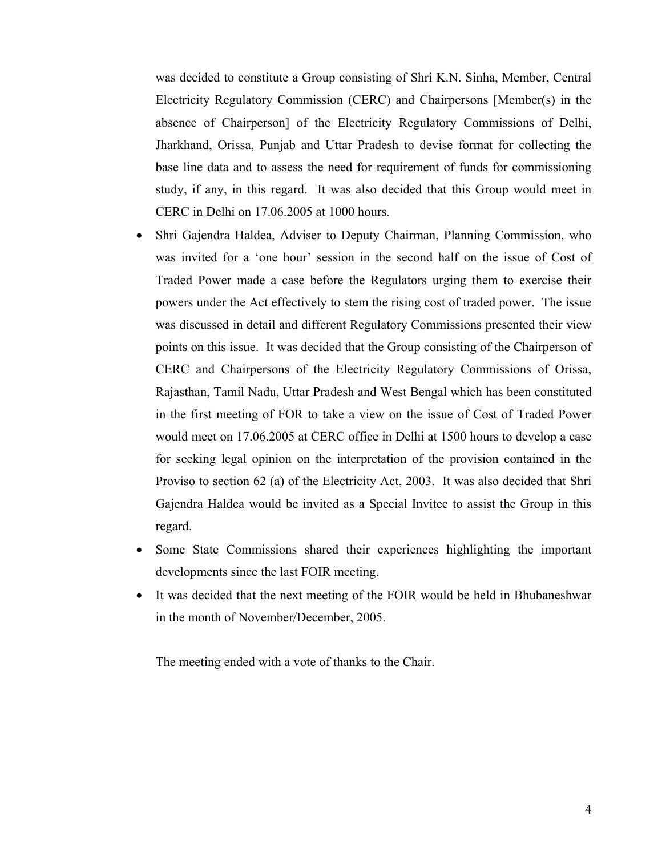was decided to constitute a Group consisting of Shri K.N. Sinha, Member, Central Electricity Regulatory Commission (CERC) and Chairpersons [Member(s) in the absence of Chairperson] of the Electricity Regulatory Commissions of Delhi, Jharkhand, Orissa, Punjab and Uttar Pradesh to devise format for collecting the base line data and to assess the need for requirement of funds for commissioning study, if any, in this regard. It was also decided that this Group would meet in CERC in Delhi on 17.06.2005 at 1000 hours.

- Shri Gajendra Haldea, Adviser to Deputy Chairman, Planning Commission, who was invited for a 'one hour' session in the second half on the issue of Cost of Traded Power made a case before the Regulators urging them to exercise their powers under the Act effectively to stem the rising cost of traded power. The issue was discussed in detail and different Regulatory Commissions presented their view points on this issue. It was decided that the Group consisting of the Chairperson of CERC and Chairpersons of the Electricity Regulatory Commissions of Orissa, Rajasthan, Tamil Nadu, Uttar Pradesh and West Bengal which has been constituted in the first meeting of FOR to take a view on the issue of Cost of Traded Power would meet on 17.06.2005 at CERC office in Delhi at 1500 hours to develop a case for seeking legal opinion on the interpretation of the provision contained in the Proviso to section 62 (a) of the Electricity Act, 2003. It was also decided that Shri Gajendra Haldea would be invited as a Special Invitee to assist the Group in this regard.
- Some State Commissions shared their experiences highlighting the important developments since the last FOIR meeting.
- It was decided that the next meeting of the FOIR would be held in Bhubaneshwar in the month of November/December, 2005.

The meeting ended with a vote of thanks to the Chair.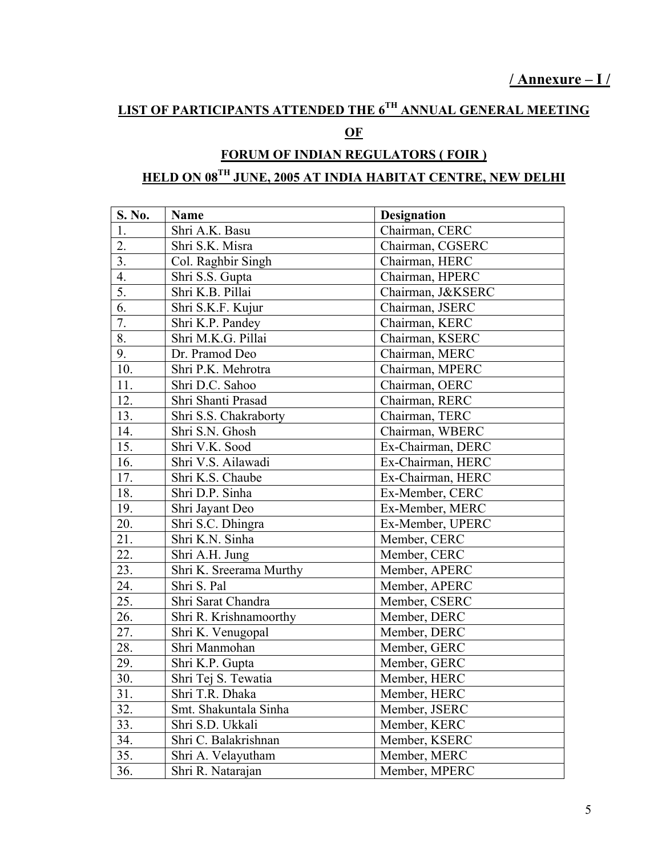### **LIST OF PARTICIPANTS ATTENDED THE 6TH ANNUAL GENERAL MEETING**

#### **OF**

## **FORUM OF INDIAN REGULATORS ( FOIR ) HELD ON 08TH JUNE, 2005 AT INDIA HABITAT CENTRE, NEW DELHI**

| S. No.           | <b>Name</b>             | <b>Designation</b> |
|------------------|-------------------------|--------------------|
| 1.               | Shri A.K. Basu          | Chairman, CERC     |
| 2.               | Shri S.K. Misra         | Chairman, CGSERC   |
| 3.               | Col. Raghbir Singh      | Chairman, HERC     |
| $\overline{4}$ . | Shri S.S. Gupta         | Chairman, HPERC    |
| 5.               | Shri K.B. Pillai        | Chairman, J&KSERC  |
| 6.               | Shri S.K.F. Kujur       | Chairman, JSERC    |
| 7.               | Shri K.P. Pandey        | Chairman, KERC     |
| 8.               | Shri M.K.G. Pillai      | Chairman, KSERC    |
| 9.               | Dr. Pramod Deo          | Chairman, MERC     |
| 10.              | Shri P.K. Mehrotra      | Chairman, MPERC    |
| 11.              | Shri D.C. Sahoo         | Chairman, OERC     |
| 12.              | Shri Shanti Prasad      | Chairman, RERC     |
| 13.              | Shri S.S. Chakraborty   | Chairman, TERC     |
| 14.              | Shri S.N. Ghosh         | Chairman, WBERC    |
| 15.              | Shri V.K. Sood          | Ex-Chairman, DERC  |
| 16.              | Shri V.S. Ailawadi      | Ex-Chairman, HERC  |
| 17.              | Shri K.S. Chaube        | Ex-Chairman, HERC  |
| 18.              | Shri D.P. Sinha         | Ex-Member, CERC    |
| 19.              | Shri Jayant Deo         | Ex-Member, MERC    |
| 20.              | Shri S.C. Dhingra       | Ex-Member, UPERC   |
| 21.              | Shri K.N. Sinha         | Member, CERC       |
| 22.              | Shri A.H. Jung          | Member, CERC       |
| 23.              | Shri K. Sreerama Murthy | Member, APERC      |
| 24.              | Shri S. Pal             | Member, APERC      |
| 25.              | Shri Sarat Chandra      | Member, CSERC      |
| 26.              | Shri R. Krishnamoorthy  | Member, DERC       |
| 27.              | Shri K. Venugopal       | Member, DERC       |
| 28.              | Shri Manmohan           | Member, GERC       |
| 29.              | Shri K.P. Gupta         | Member, GERC       |
| 30.              | Shri Tej S. Tewatia     | Member, HERC       |
| 31.              | Shri T.R. Dhaka         | Member, HERC       |
| 32.              | Smt. Shakuntala Sinha   | Member, JSERC      |
| 33.              | Shri S.D. Ukkali        | Member, KERC       |
| 34.              | Shri C. Balakrishnan    | Member, KSERC      |
| 35.              | Shri A. Velayutham      | Member, MERC       |
| 36.              | Shri R. Natarajan       | Member, MPERC      |